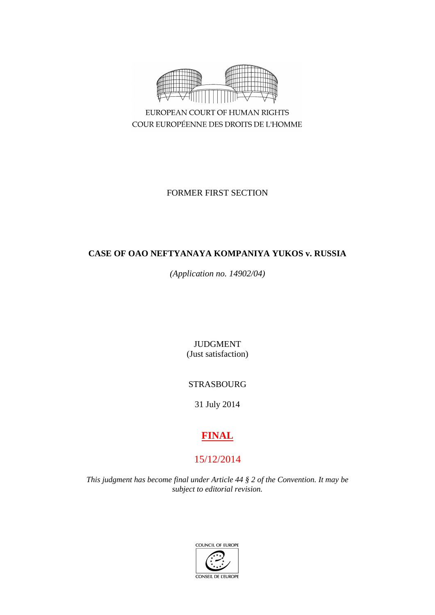

COUR EUROPÉENNE DES DROITS DE L'HOMME

FORMER FIRST SECTION

# **CASE OF OAO NEFTYANAYA KOMPANIYA YUKOS v. RUSSIA**

*(Application no. 14902/04)*

JUDGMENT (Just satisfaction)

# STRASBOURG

31 July 2014

# **FINAL**

# 15/12/2014

*This judgment has become final under Article 44 § 2 of the Convention. It may be subject to editorial revision.*

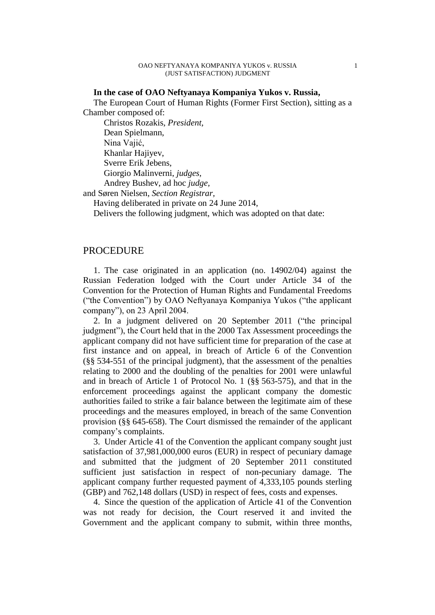#### **In the case of OAO Neftyanaya Kompaniya Yukos v. Russia,**

The European Court of Human Rights (Former First Section), sitting as a Chamber composed of:

Christos Rozakis, *President,* Dean Spielmann, Nina Vajić, Khanlar Hajiyev, Sverre Erik Jebens, Giorgio Malinverni, *judges,* Andrey Bushev, ad hoc *judge,*

and Søren Nielsen, *Section Registrar,*

Having deliberated in private on 24 June 2014,

Delivers the following judgment, which was adopted on that date:

## PROCEDURE

1. The case originated in an application (no. 14902/04) against the Russian Federation lodged with the Court under Article 34 of the Convention for the Protection of Human Rights and Fundamental Freedoms ("the Convention") by OAO Neftyanaya Kompaniya Yukos ("the applicant company"), on 23 April 2004.

2. In a judgment delivered on 20 September 2011 ("the principal judgment"), the Court held that in the 2000 Tax Assessment proceedings the applicant company did not have sufficient time for preparation of the case at first instance and on appeal, in breach of Article 6 of the Convention (§§ 534-551 of the principal judgment), that the assessment of the penalties relating to 2000 and the doubling of the penalties for 2001 were unlawful and in breach of Article 1 of Protocol No. 1 (§§ 563-575), and that in the enforcement proceedings against the applicant company the domestic authorities failed to strike a fair balance between the legitimate aim of these proceedings and the measures employed, in breach of the same Convention provision (§§ 645-658). The Court dismissed the remainder of the applicant company's complaints.

3. Under Article 41 of the Convention the applicant company sought just satisfaction of 37,981,000,000 euros (EUR) in respect of pecuniary damage and submitted that the judgment of 20 September 2011 constituted sufficient just satisfaction in respect of non-pecuniary damage. The applicant company further requested payment of 4,333,105 pounds sterling (GBP) and 762,148 dollars (USD) in respect of fees, costs and expenses.

4. Since the question of the application of Article 41 of the Convention was not ready for decision, the Court reserved it and invited the Government and the applicant company to submit, within three months,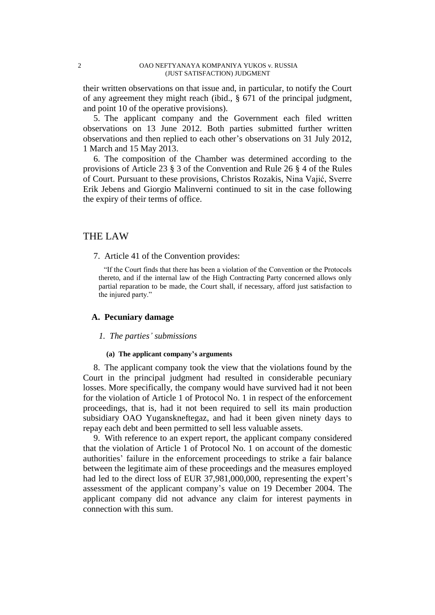their written observations on that issue and, in particular, to notify the Court of any agreement they might reach (ibid., § 671 of the principal judgment, and point 10 of the operative provisions).

5. The applicant company and the Government each filed written observations on 13 June 2012. Both parties submitted further written observations and then replied to each other's observations on 31 July 2012, 1 March and 15 May 2013.

6. The composition of the Chamber was determined according to the provisions of Article 23 § 3 of the Convention and Rule 26 § 4 of the Rules of Court. Pursuant to these provisions, Christos Rozakis, Nina Vajić, Sverre Erik Jebens and Giorgio Malinverni continued to sit in the case following the expiry of their terms of office.

# THE LAW

7. Article 41 of the Convention provides:

"If the Court finds that there has been a violation of the Convention or the Protocols thereto, and if the internal law of the High Contracting Party concerned allows only partial reparation to be made, the Court shall, if necessary, afford just satisfaction to the injured party."

## **A. Pecuniary damage**

#### *1. The parties' submissions*

#### **(a) The applicant company's arguments**

8. The applicant company took the view that the violations found by the Court in the principal judgment had resulted in considerable pecuniary losses. More specifically, the company would have survived had it not been for the violation of Article 1 of Protocol No. 1 in respect of the enforcement proceedings, that is, had it not been required to sell its main production subsidiary OAO Yuganskneftegaz, and had it been given ninety days to repay each debt and been permitted to sell less valuable assets.

9. With reference to an expert report, the applicant company considered that the violation of Article 1 of Protocol No. 1 on account of the domestic authorities' failure in the enforcement proceedings to strike a fair balance between the legitimate aim of these proceedings and the measures employed had led to the direct loss of EUR 37,981,000,000, representing the expert's assessment of the applicant company's value on 19 December 2004. The applicant company did not advance any claim for interest payments in connection with this sum.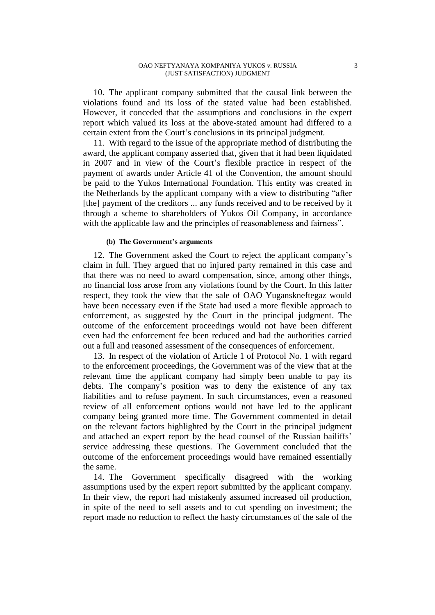#### OAO NEFTYANAYA KOMPANIYA YUKOS v. RUSSIA 3 (JUST SATISFACTION) JUDGMENT

10. The applicant company submitted that the causal link between the violations found and its loss of the stated value had been established. However, it conceded that the assumptions and conclusions in the expert report which valued its loss at the above-stated amount had differed to a certain extent from the Court's conclusions in its principal judgment.

11. With regard to the issue of the appropriate method of distributing the award, the applicant company asserted that, given that it had been liquidated in 2007 and in view of the Court's flexible practice in respect of the payment of awards under Article 41 of the Convention, the amount should be paid to the Yukos International Foundation. This entity was created in the Netherlands by the applicant company with a view to distributing "after [the] payment of the creditors ... any funds received and to be received by it through a scheme to shareholders of Yukos Oil Company, in accordance with the applicable law and the principles of reasonableness and fairness".

#### **(b) The Government's arguments**

12. The Government asked the Court to reject the applicant company's claim in full. They argued that no injured party remained in this case and that there was no need to award compensation, since, among other things, no financial loss arose from any violations found by the Court. In this latter respect, they took the view that the sale of OAO Yuganskneftegaz would have been necessary even if the State had used a more flexible approach to enforcement, as suggested by the Court in the principal judgment. The outcome of the enforcement proceedings would not have been different even had the enforcement fee been reduced and had the authorities carried out a full and reasoned assessment of the consequences of enforcement.

13. In respect of the violation of Article 1 of Protocol No. 1 with regard to the enforcement proceedings, the Government was of the view that at the relevant time the applicant company had simply been unable to pay its debts. The company's position was to deny the existence of any tax liabilities and to refuse payment. In such circumstances, even a reasoned review of all enforcement options would not have led to the applicant company being granted more time. The Government commented in detail on the relevant factors highlighted by the Court in the principal judgment and attached an expert report by the head counsel of the Russian bailiffs' service addressing these questions. The Government concluded that the outcome of the enforcement proceedings would have remained essentially the same.

14. The Government specifically disagreed with the working assumptions used by the expert report submitted by the applicant company. In their view, the report had mistakenly assumed increased oil production, in spite of the need to sell assets and to cut spending on investment; the report made no reduction to reflect the hasty circumstances of the sale of the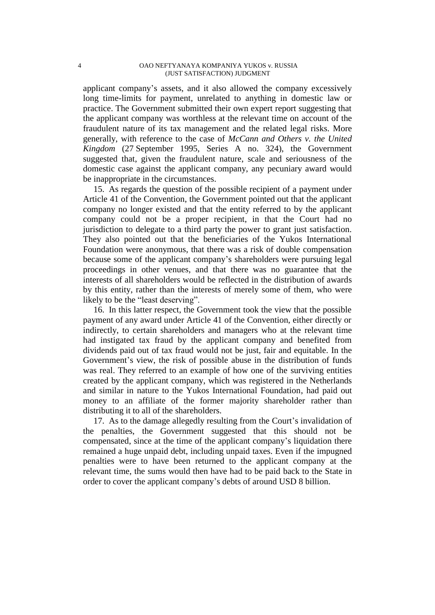applicant company's assets, and it also allowed the company excessively long time-limits for payment, unrelated to anything in domestic law or practice. The Government submitted their own expert report suggesting that the applicant company was worthless at the relevant time on account of the fraudulent nature of its tax management and the related legal risks. More generally, with reference to the case of *McCann and Others v. the United Kingdom* (27 September 1995, Series A no. 324), the Government suggested that, given the fraudulent nature, scale and seriousness of the domestic case against the applicant company, any pecuniary award would be inappropriate in the circumstances.

15. As regards the question of the possible recipient of a payment under Article 41 of the Convention, the Government pointed out that the applicant company no longer existed and that the entity referred to by the applicant company could not be a proper recipient, in that the Court had no jurisdiction to delegate to a third party the power to grant just satisfaction. They also pointed out that the beneficiaries of the Yukos International Foundation were anonymous, that there was a risk of double compensation because some of the applicant company's shareholders were pursuing legal proceedings in other venues, and that there was no guarantee that the interests of all shareholders would be reflected in the distribution of awards by this entity, rather than the interests of merely some of them, who were likely to be the "least deserving".

16. In this latter respect, the Government took the view that the possible payment of any award under Article 41 of the Convention, either directly or indirectly, to certain shareholders and managers who at the relevant time had instigated tax fraud by the applicant company and benefited from dividends paid out of tax fraud would not be just, fair and equitable. In the Government's view, the risk of possible abuse in the distribution of funds was real. They referred to an example of how one of the surviving entities created by the applicant company, which was registered in the Netherlands and similar in nature to the Yukos International Foundation, had paid out money to an affiliate of the former majority shareholder rather than distributing it to all of the shareholders.

17. As to the damage allegedly resulting from the Court's invalidation of the penalties, the Government suggested that this should not be compensated, since at the time of the applicant company's liquidation there remained a huge unpaid debt, including unpaid taxes. Even if the impugned penalties were to have been returned to the applicant company at the relevant time, the sums would then have had to be paid back to the State in order to cover the applicant company's debts of around USD 8 billion.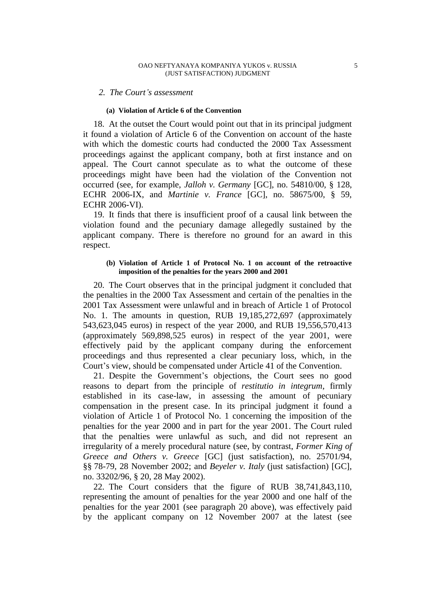#### *2. The Court's assessment*

#### **(a) Violation of Article 6 of the Convention**

18. At the outset the Court would point out that in its principal judgment it found a violation of Article 6 of the Convention on account of the haste with which the domestic courts had conducted the 2000 Tax Assessment proceedings against the applicant company, both at first instance and on appeal. The Court cannot speculate as to what the outcome of these proceedings might have been had the violation of the Convention not occurred (see, for example, *Jalloh v. Germany* [GC], no. 54810/00, § 128, ECHR 2006-IX, and *Martinie v. France* [GC], no. 58675/00, § 59, ECHR 2006-VI).

19. It finds that there is insufficient proof of a causal link between the violation found and the pecuniary damage allegedly sustained by the applicant company. There is therefore no ground for an award in this respect.

#### **(b) Violation of Article 1 of Protocol No. 1 on account of the retroactive imposition of the penalties for the years 2000 and 2001**

20. The Court observes that in the principal judgment it concluded that the penalties in the 2000 Tax Assessment and certain of the penalties in the 2001 Tax Assessment were unlawful and in breach of Article 1 of Protocol No. 1. The amounts in question, RUB 19,185,272,697 (approximately 543,623,045 euros) in respect of the year 2000, and RUB 19,556,570,413 (approximately 569,898,525 euros) in respect of the year 2001, were effectively paid by the applicant company during the enforcement proceedings and thus represented a clear pecuniary loss, which, in the Court's view, should be compensated under Article 41 of the Convention.

21. Despite the Government's objections, the Court sees no good reasons to depart from the principle of *restitutio in integrum*, firmly established in its case-law, in assessing the amount of pecuniary compensation in the present case. In its principal judgment it found a violation of Article 1 of Protocol No. 1 concerning the imposition of the penalties for the year 2000 and in part for the year 2001. The Court ruled that the penalties were unlawful as such, and did not represent an irregularity of a merely procedural nature (see, by contrast, *Former King of Greece and Others v. Greece* [GC] (just satisfaction), no. 25701/94, §§ 78-79, 28 November 2002; and *Beyeler v. Italy* (just satisfaction) [GC], no. 33202/96, § 20, 28 May 2002).

22. The Court considers that the figure of RUB 38,741,843,110, representing the amount of penalties for the year 2000 and one half of the penalties for the year 2001 (see paragraph 20 above), was effectively paid by the applicant company on 12 November 2007 at the latest (see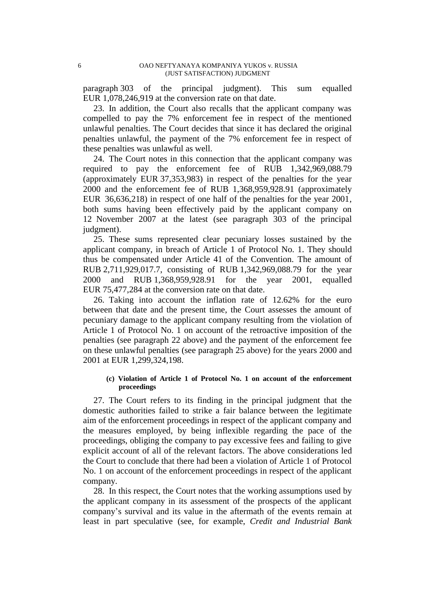paragraph 303 of the principal judgment). This sum equalled EUR 1,078,246,919 at the conversion rate on that date.

23. In addition, the Court also recalls that the applicant company was compelled to pay the 7% enforcement fee in respect of the mentioned unlawful penalties. The Court decides that since it has declared the original penalties unlawful, the payment of the 7% enforcement fee in respect of these penalties was unlawful as well.

24. The Court notes in this connection that the applicant company was required to pay the enforcement fee of RUB 1,342,969,088.79 (approximately EUR 37,353,983) in respect of the penalties for the year 2000 and the enforcement fee of RUB 1,368,959,928.91 (approximately EUR 36,636,218) in respect of one half of the penalties for the year 2001, both sums having been effectively paid by the applicant company on 12 November 2007 at the latest (see paragraph 303 of the principal judgment).

25. These sums represented clear pecuniary losses sustained by the applicant company, in breach of Article 1 of Protocol No. 1. They should thus be compensated under Article 41 of the Convention. The amount of RUB 2,711,929,017.7, consisting of RUB 1,342,969,088.79 for the year 2000 and RUB 1,368,959,928.91 for the year 2001, equalled EUR 75,477,284 at the conversion rate on that date.

26. Taking into account the inflation rate of 12.62% for the euro between that date and the present time, the Court assesses the amount of pecuniary damage to the applicant company resulting from the violation of Article 1 of Protocol No. 1 on account of the retroactive imposition of the penalties (see paragraph 22 above) and the payment of the enforcement fee on these unlawful penalties (see paragraph 25 above) for the years 2000 and 2001 at EUR 1,299,324,198.

#### **(c) Violation of Article 1 of Protocol No. 1 on account of the enforcement proceedings**

27. The Court refers to its finding in the principal judgment that the domestic authorities failed to strike a fair balance between the legitimate aim of the enforcement proceedings in respect of the applicant company and the measures employed, by being inflexible regarding the pace of the proceedings, obliging the company to pay excessive fees and failing to give explicit account of all of the relevant factors. The above considerations led the Court to conclude that there had been a violation of Article 1 of Protocol No. 1 on account of the enforcement proceedings in respect of the applicant company.

28. In this respect, the Court notes that the working assumptions used by the applicant company in its assessment of the prospects of the applicant company's survival and its value in the aftermath of the events remain at least in part speculative (see, for example, *Credit and Industrial Bank*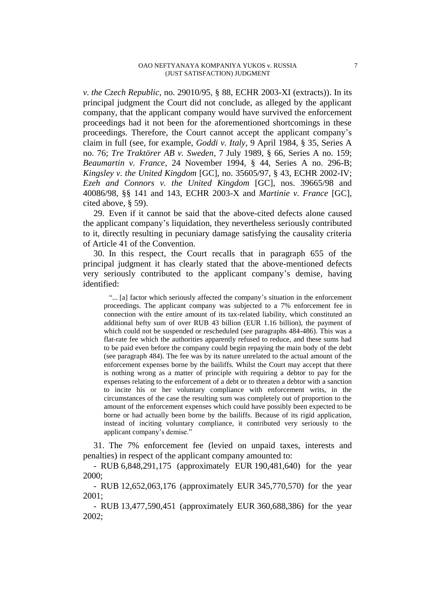#### OAO NEFTYANAYA KOMPANIYA YUKOS v. RUSSIA 7 (JUST SATISFACTION) JUDGMENT

*v. the Czech Republic*, no. 29010/95, § 88, ECHR 2003-XI (extracts)). In its principal judgment the Court did not conclude, as alleged by the applicant company, that the applicant company would have survived the enforcement proceedings had it not been for the aforementioned shortcomings in these proceedings. Therefore, the Court cannot accept the applicant company's claim in full (see, for example, *Goddi v. Italy*, 9 April 1984, § 35, Series A no. 76; *Tre Traktörer AB v. Sweden*, 7 July 1989, § 66, Series A no. 159; *Beaumartin v. France*, 24 November 1994, § 44, Series A no. 296-B; *Kingsley v. the United Kingdom* [GC], no. 35605/97, § 43, ECHR 2002-IV; *Ezeh and Connors v. the United Kingdom* [GC], nos. 39665/98 and 40086/98, §§ 141 and 143, ECHR 2003-X and *Martinie v. France* [GC], cited above, § 59).

29. Even if it cannot be said that the above-cited defects alone caused the applicant company's liquidation, they nevertheless seriously contributed to it, directly resulting in pecuniary damage satisfying the causality criteria of Article 41 of the Convention.

30. In this respect, the Court recalls that in paragraph 655 of the principal judgment it has clearly stated that the above-mentioned defects very seriously contributed to the applicant company's demise, having identified:

"... [a] factor which seriously affected the company's situation in the enforcement proceedings. The applicant company was subjected to a 7% enforcement fee in connection with the entire amount of its tax-related liability, which constituted an additional hefty sum of over RUB 43 billion (EUR 1.16 billion), the payment of which could not be suspended or rescheduled (see paragraphs 484-486). This was a flat-rate fee which the authorities apparently refused to reduce, and these sums had to be paid even before the company could begin repaying the main body of the debt (see paragraph 484). The fee was by its nature unrelated to the actual amount of the enforcement expenses borne by the bailiffs. Whilst the Court may accept that there is nothing wrong as a matter of principle with requiring a debtor to pay for the expenses relating to the enforcement of a debt or to threaten a debtor with a sanction to incite his or her voluntary compliance with enforcement writs, in the circumstances of the case the resulting sum was completely out of proportion to the amount of the enforcement expenses which could have possibly been expected to be borne or had actually been borne by the bailiffs. Because of its rigid application, instead of inciting voluntary compliance, it contributed very seriously to the applicant company's demise."

31. The 7% enforcement fee (levied on unpaid taxes, interests and penalties) in respect of the applicant company amounted to:

- RUB 6,848,291,175 (approximately EUR 190,481,640) for the year 2000;

- RUB 12,652,063,176 (approximately EUR 345,770,570) for the year 2001;

- RUB 13,477,590,451 (approximately EUR 360,688,386) for the year 2002;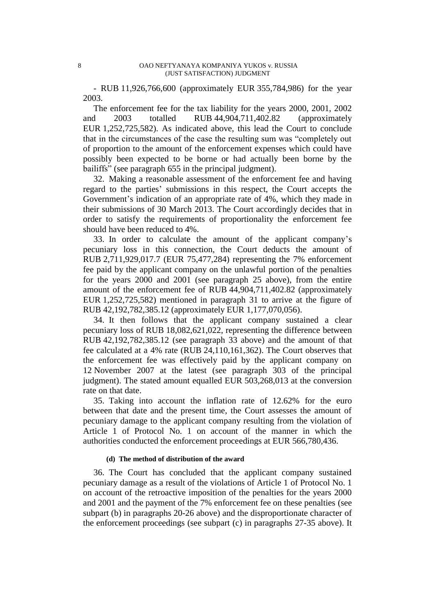- RUB 11,926,766,600 (approximately EUR 355,784,986) for the year 2003.

The enforcement fee for the tax liability for the years 2000, 2001, 2002 and 2003 totalled RUB 44,904,711,402.82 (approximately EUR 1,252,725,582). As indicated above, this lead the Court to conclude that in the circumstances of the case the resulting sum was "completely out of proportion to the amount of the enforcement expenses which could have possibly been expected to be borne or had actually been borne by the bailiffs" (see paragraph 655 in the principal judgment).

32. Making a reasonable assessment of the enforcement fee and having regard to the parties' submissions in this respect, the Court accepts the Government's indication of an appropriate rate of 4%, which they made in their submissions of 30 March 2013. The Court accordingly decides that in order to satisfy the requirements of proportionality the enforcement fee should have been reduced to 4%.

33. In order to calculate the amount of the applicant company's pecuniary loss in this connection, the Court deducts the amount of RUB 2,711,929,017.7 (EUR 75,477,284) representing the 7% enforcement fee paid by the applicant company on the unlawful portion of the penalties for the years 2000 and 2001 (see paragraph 25 above), from the entire amount of the enforcement fee of RUB 44,904,711,402.82 (approximately EUR 1,252,725,582) mentioned in paragraph 31 to arrive at the figure of RUB 42,192,782,385.12 (approximately EUR 1,177,070,056).

34. It then follows that the applicant company sustained a clear pecuniary loss of RUB 18,082,621,022, representing the difference between RUB 42,192,782,385.12 (see paragraph 33 above) and the amount of that fee calculated at a 4% rate (RUB 24,110,161,362). The Court observes that the enforcement fee was effectively paid by the applicant company on 12 November 2007 at the latest (see paragraph 303 of the principal judgment). The stated amount equalled EUR 503,268,013 at the conversion rate on that date.

35. Taking into account the inflation rate of 12.62% for the euro between that date and the present time, the Court assesses the amount of pecuniary damage to the applicant company resulting from the violation of Article 1 of Protocol No. 1 on account of the manner in which the authorities conducted the enforcement proceedings at EUR 566,780,436.

#### **(d) The method of distribution of the award**

36. The Court has concluded that the applicant company sustained pecuniary damage as a result of the violations of Article 1 of Protocol No. 1 on account of the retroactive imposition of the penalties for the years 2000 and 2001 and the payment of the 7% enforcement fee on these penalties (see subpart (b) in paragraphs 20-26 above) and the disproportionate character of the enforcement proceedings (see subpart (c) in paragraphs 27-35 above). It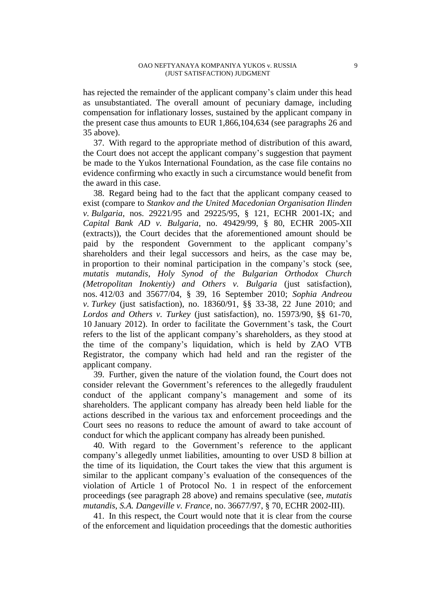has rejected the remainder of the applicant company's claim under this head as unsubstantiated. The overall amount of pecuniary damage, including compensation for inflationary losses, sustained by the applicant company in the present case thus amounts to EUR 1,866,104,634 (see paragraphs 26 and 35 above).

37. With regard to the appropriate method of distribution of this award, the Court does not accept the applicant company's suggestion that payment be made to the Yukos International Foundation, as the case file contains no evidence confirming who exactly in such a circumstance would benefit from the award in this case.

38. Regard being had to the fact that the applicant company ceased to exist (compare to *Stankov and the United Macedonian Organisation Ilinden v. Bulgaria*, nos. 29221/95 and 29225/95, § 121, ECHR 2001-IX; and *Capital Bank AD v. Bulgaria*, no. 49429/99, § 80, ECHR 2005-XII (extracts)), the Court decides that the aforementioned amount should be paid by the respondent Government to the applicant company's shareholders and their legal successors and heirs, as the case may be, in proportion to their nominal participation in the company's stock (see, *mutatis mutandis*, *Holy Synod of the Bulgarian Orthodox Church (Metropolitan Inokentiy) and Others v. Bulgaria* (just satisfaction), nos. 412/03 and 35677/04, § 39, 16 September 2010; *Sophia Andreou v. Turkey* (just satisfaction), no. 18360/91, §§ 33-38, 22 June 2010; and *Lordos and Others v. Turkey* (just satisfaction), no. 15973/90, §§ 61-70, 10 January 2012). In order to facilitate the Government's task, the Court refers to the list of the applicant company's shareholders, as they stood at the time of the company's liquidation, which is held by ZAO VTB Registrator, the company which had held and ran the register of the applicant company.

39. Further, given the nature of the violation found, the Court does not consider relevant the Government's references to the allegedly fraudulent conduct of the applicant company's management and some of its shareholders. The applicant company has already been held liable for the actions described in the various tax and enforcement proceedings and the Court sees no reasons to reduce the amount of award to take account of conduct for which the applicant company has already been punished.

40. With regard to the Government's reference to the applicant company's allegedly unmet liabilities, amounting to over USD 8 billion at the time of its liquidation, the Court takes the view that this argument is similar to the applicant company's evaluation of the consequences of the violation of Article 1 of Protocol No. 1 in respect of the enforcement proceedings (see paragraph 28 above) and remains speculative (see, *mutatis mutandis*, *S.A. Dangeville v. France*, no. 36677/97, § 70, ECHR 2002-III).

41. In this respect, the Court would note that it is clear from the course of the enforcement and liquidation proceedings that the domestic authorities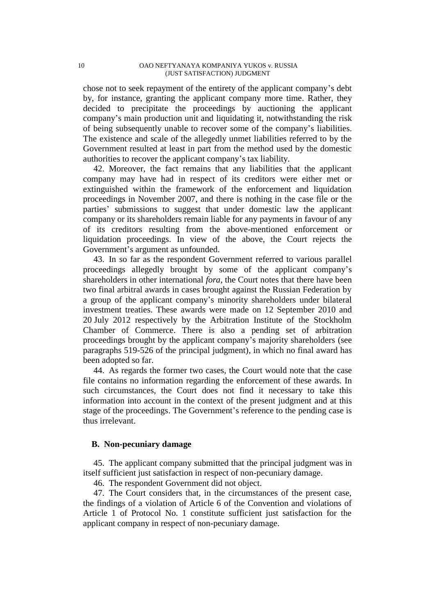chose not to seek repayment of the entirety of the applicant company's debt by, for instance, granting the applicant company more time. Rather, they decided to precipitate the proceedings by auctioning the applicant company's main production unit and liquidating it, notwithstanding the risk of being subsequently unable to recover some of the company's liabilities. The existence and scale of the allegedly unmet liabilities referred to by the Government resulted at least in part from the method used by the domestic authorities to recover the applicant company's tax liability.

42. Moreover, the fact remains that any liabilities that the applicant company may have had in respect of its creditors were either met or extinguished within the framework of the enforcement and liquidation proceedings in November 2007, and there is nothing in the case file or the parties' submissions to suggest that under domestic law the applicant company or its shareholders remain liable for any payments in favour of any of its creditors resulting from the above-mentioned enforcement or liquidation proceedings. In view of the above, the Court rejects the Government's argument as unfounded.

43. In so far as the respondent Government referred to various parallel proceedings allegedly brought by some of the applicant company's shareholders in other international *fora*, the Court notes that there have been two final arbitral awards in cases brought against the Russian Federation by a group of the applicant company's minority shareholders under bilateral investment treaties. These awards were made on 12 September 2010 and 20 July 2012 respectively by the Arbitration Institute of the Stockholm Chamber of Commerce. There is also a pending set of arbitration proceedings brought by the applicant company's majority shareholders (see paragraphs 519-526 of the principal judgment), in which no final award has been adopted so far.

44. As regards the former two cases, the Court would note that the case file contains no information regarding the enforcement of these awards. In such circumstances, the Court does not find it necessary to take this information into account in the context of the present judgment and at this stage of the proceedings. The Government's reference to the pending case is thus irrelevant.

## **B. Non-pecuniary damage**

45. The applicant company submitted that the principal judgment was in itself sufficient just satisfaction in respect of non-pecuniary damage.

46. The respondent Government did not object.

47. The Court considers that, in the circumstances of the present case, the findings of a violation of Article 6 of the Convention and violations of Article 1 of Protocol No. 1 constitute sufficient just satisfaction for the applicant company in respect of non-pecuniary damage.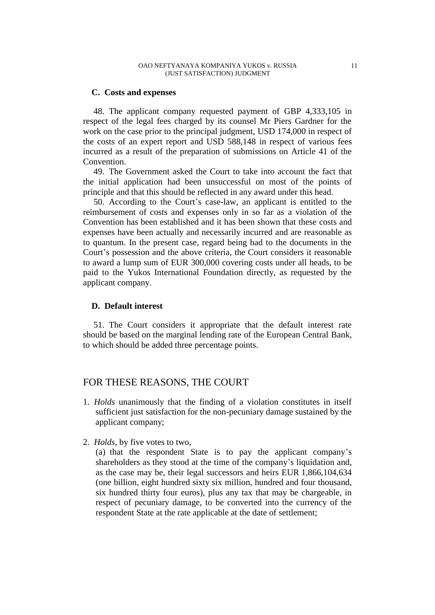#### **C. Costs and expenses**

48. The applicant company requested payment of GBP 4,333,105 in respect of the legal fees charged by its counsel Mr Piers Gardner for the work on the case prior to the principal judgment, USD 174,000 in respect of the costs of an expert report and USD 588,148 in respect of various fees incurred as a result of the preparation of submissions on Article 41 of the Convention.

49. The Government asked the Court to take into account the fact that the initial application had been unsuccessful on most of the points of principle and that this should be reflected in any award under this head.

50. According to the Court's case-law, an applicant is entitled to the reimbursement of costs and expenses only in so far as a violation of the Convention has been established and it has been shown that these costs and expenses have been actually and necessarily incurred and are reasonable as to quantum. In the present case, regard being had to the documents in the Court's possession and the above criteria, the Court considers it reasonable to award a lump sum of EUR 300,000 covering costs under all heads, to be paid to the Yukos International Foundation directly, as requested by the applicant company.

## **D. Default interest**

51. The Court considers it appropriate that the default interest rate should be based on the marginal lending rate of the European Central Bank, to which should be added three percentage points.

# FOR THESE REASONS, THE COURT

- 1. *Holds* unanimously that the finding of a violation constitutes in itself sufficient just satisfaction for the non-pecuniary damage sustained by the applicant company;
- 2. *Holds*, by five votes to two,

(a) that the respondent State is to pay the applicant company's shareholders as they stood at the time of the company's liquidation and, as the case may be, their legal successors and heirs EUR 1,866,104,634 (one billion, eight hundred sixty six million, hundred and four thousand, six hundred thirty four euros), plus any tax that may be chargeable, in respect of pecuniary damage, to be converted into the currency of the respondent State at the rate applicable at the date of settlement;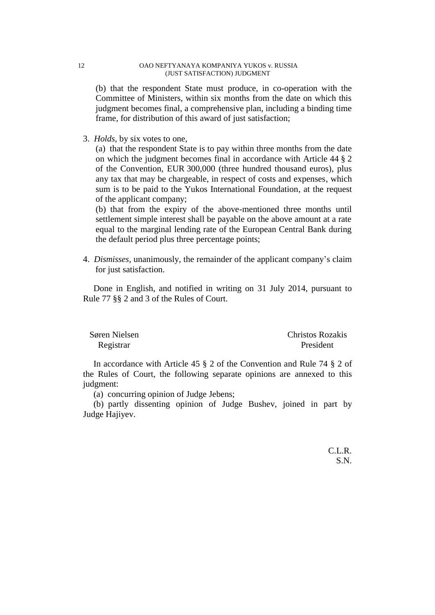#### 12 OAO NEFTYANAYA KOMPANIYA YUKOS v. RUSSIA (JUST SATISFACTION) JUDGMENT

(b) that the respondent State must produce, in co-operation with the Committee of Ministers, within six months from the date on which this judgment becomes final, a comprehensive plan, including a binding time frame, for distribution of this award of just satisfaction;

3. *Holds*, by six votes to one,

(a) that the respondent State is to pay within three months from the date on which the judgment becomes final in accordance with Article 44 § 2 of the Convention, EUR 300,000 (three hundred thousand euros), plus any tax that may be chargeable, in respect of costs and expenses, which sum is to be paid to the Yukos International Foundation, at the request of the applicant company;

(b) that from the expiry of the above-mentioned three months until settlement simple interest shall be payable on the above amount at a rate equal to the marginal lending rate of the European Central Bank during the default period plus three percentage points;

4. *Dismisses*, unanimously, the remainder of the applicant company's claim for just satisfaction.

Done in English, and notified in writing on 31 July 2014, pursuant to Rule 77 §§ 2 and 3 of the Rules of Court.

| Søren Nielsen | <b>Christos Rozakis</b> |
|---------------|-------------------------|
| Registrar     | President               |

In accordance with Article 45 § 2 of the Convention and Rule 74 § 2 of the Rules of Court, the following separate opinions are annexed to this judgment:

(a) concurring opinion of Judge Jebens;

(b) partly dissenting opinion of Judge Bushev, joined in part by Judge Hajiyev.

> C.L.R. S.N.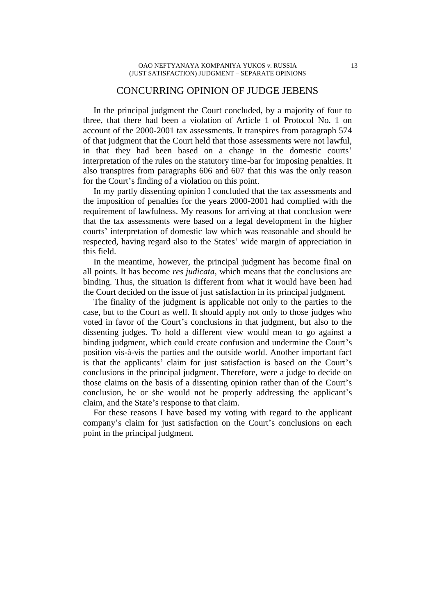## CONCURRING OPINION OF JUDGE JEBENS

In the principal judgment the Court concluded, by a majority of four to three, that there had been a violation of Article 1 of Protocol No. 1 on account of the 2000-2001 tax assessments. It transpires from paragraph 574 of that judgment that the Court held that those assessments were not lawful, in that they had been based on a change in the domestic courts' interpretation of the rules on the statutory time-bar for imposing penalties. It also transpires from paragraphs 606 and 607 that this was the only reason for the Court's finding of a violation on this point.

In my partly dissenting opinion I concluded that the tax assessments and the imposition of penalties for the years 2000-2001 had complied with the requirement of lawfulness. My reasons for arriving at that conclusion were that the tax assessments were based on a legal development in the higher courts' interpretation of domestic law which was reasonable and should be respected, having regard also to the States' wide margin of appreciation in this field.

In the meantime, however, the principal judgment has become final on all points. It has become *res judicata*, which means that the conclusions are binding. Thus, the situation is different from what it would have been had the Court decided on the issue of just satisfaction in its principal judgment.

The finality of the judgment is applicable not only to the parties to the case, but to the Court as well. It should apply not only to those judges who voted in favor of the Court's conclusions in that judgment, but also to the dissenting judges. To hold a different view would mean to go against a binding judgment, which could create confusion and undermine the Court's position vis-à-vis the parties and the outside world. Another important fact is that the applicants' claim for just satisfaction is based on the Court's conclusions in the principal judgment. Therefore, were a judge to decide on those claims on the basis of a dissenting opinion rather than of the Court's conclusion, he or she would not be properly addressing the applicant's claim, and the State's response to that claim.

For these reasons I have based my voting with regard to the applicant company's claim for just satisfaction on the Court's conclusions on each point in the principal judgment.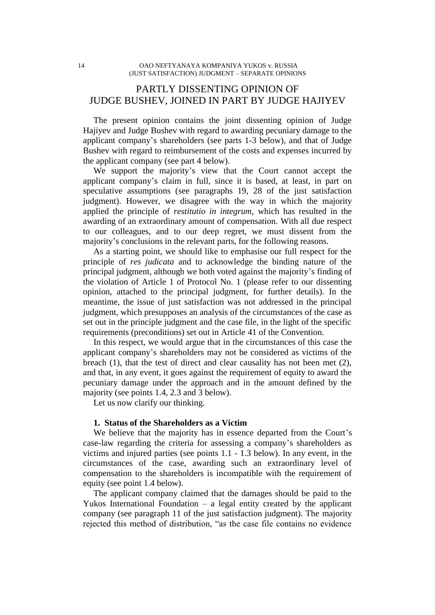# PARTLY DISSENTING OPINION OF JUDGE BUSHEV, JOINED IN PART BY JUDGE HAJIYEV

The present opinion contains the joint dissenting opinion of Judge Hajiyev and Judge Bushev with regard to awarding pecuniary damage to the applicant company's shareholders (see parts 1-3 below), and that of Judge Bushev with regard to reimbursement of the costs and expenses incurred by the applicant company (see part 4 below).

We support the majority's view that the Court cannot accept the applicant company's claim in full, since it is based, at least, in part on speculative assumptions (see paragraphs 19, 28 of the just satisfaction judgment). However, we disagree with the way in which the majority applied the principle of *restitutio in integrum,* which has resulted in the awarding of an extraordinary amount of compensation. With all due respect to our colleagues, and to our deep regret, we must dissent from the majority's conclusions in the relevant parts, for the following reasons.

As a starting point, we should like to emphasise our full respect for the principle of *res judicata* and to acknowledge the binding nature of the principal judgment, although we both voted against the majority's finding of the violation of Article 1 of Protocol No. 1 (please refer to our dissenting opinion, attached to the principal judgment, for further details). In the meantime, the issue of just satisfaction was not addressed in the principal judgment, which presupposes an analysis of the circumstances of the case as set out in the principle judgment and the case file, in the light of the specific requirements (preconditions) set out in Article 41 of the Convention.

In this respect, we would argue that in the circumstances of this case the applicant company's shareholders may not be considered as victims of the breach (1), that the test of direct and clear causality has not been met (2), and that, in any event, it goes against the requirement of equity to award the pecuniary damage under the approach and in the amount defined by the majority (see points 1.4, 2.3 and 3 below).

Let us now clarify our thinking.

## **1. Status of the Shareholders as a Victim**

We believe that the majority has in essence departed from the Court's case-law regarding the criteria for assessing a company's shareholders as victims and injured parties (see points 1.1 - 1.3 below). In any event, in the circumstances of the case, awarding such an extraordinary level of compensation to the shareholders is incompatible with the requirement of equity (see point 1.4 below).

The applicant company claimed that the damages should be paid to the Yukos International Foundation – a legal entity created by the applicant company (see paragraph 11 of the just satisfaction judgment). The majority rejected this method of distribution, "as the case file contains no evidence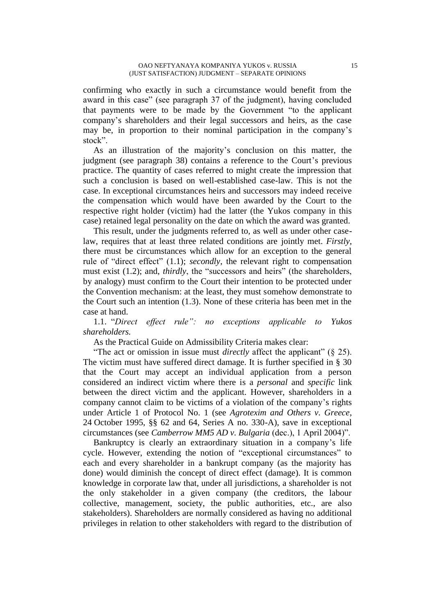confirming who exactly in such a circumstance would benefit from the award in this case" (see paragraph 37 of the judgment), having concluded that payments were to be made by the Government "to the applicant company's shareholders and their legal successors and heirs, as the case may be, in proportion to their nominal participation in the company's stock".

As an illustration of the majority's conclusion on this matter, the judgment (see paragraph 38) contains a reference to the Court's previous practice. The quantity of cases referred to might create the impression that such a conclusion is based on well-established case-law. This is not the case. In exceptional circumstances heirs and successors may indeed receive the compensation which would have been awarded by the Court to the respective right holder (victim) had the latter (the Yukos company in this case) retained legal personality on the date on which the award was granted.

This result, under the judgments referred to, as well as under other caselaw, requires that at least three related conditions are jointly met. *Firstly*, there must be circumstances which allow for an exception to the general rule of "direct effect" (1.1); *secondly*, the relevant right to compensation must exist (1.2); and, *thirdly*, the "successors and heirs" (the shareholders, by analogy) must confirm to the Court their intention to be protected under the Convention mechanism: at the least, they must somehow demonstrate to the Court such an intention (1.3). None of these criteria has been met in the case at hand.

1.1. "*Direct effect rule": no exceptions applicable to Yukos shareholders.*

As the Practical Guide on Admissibility Criteria makes clear:

"The act or omission in issue must *directly* affect the applicant" (§ 25). The victim must have suffered direct damage. It is further specified in § 30 that the Court may accept an individual application from a person considered an indirect victim where there is a *personal* and *specific* link between the direct victim and the applicant. However, shareholders in a company cannot claim to be victims of a violation of the company's rights under Article 1 of Protocol No. 1 (see *Agrotexim and Others v. Greece*, 24 October 1995, §§ 62 and 64, Series A no. 330-A), save in exceptional circumstances (see *Camberrow MM5 AD v. Bulgaria* (dec.), 1 April 2004)".

Bankruptcy is clearly an extraordinary situation in a company's life cycle. However, extending the notion of "exceptional circumstances" to each and every shareholder in a bankrupt company (as the majority has done) would diminish the concept of direct effect (damage). It is common knowledge in corporate law that, under all jurisdictions, a shareholder is not the only stakeholder in a given company (the creditors, the labour collective, management, society, the public authorities, etc., are also stakeholders). Shareholders are normally considered as having no additional privileges in relation to other stakeholders with regard to the distribution of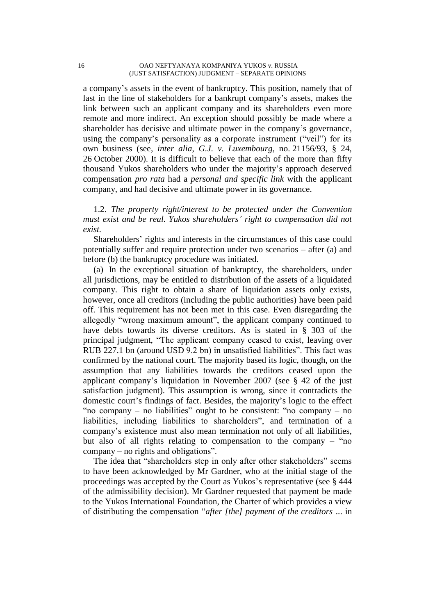#### 16 OAO NEFTYANAYA KOMPANIYA YUKOS v. RUSSIA (JUST SATISFACTION) JUDGMENT – SEPARATE OPINIONS

a company's assets in the event of bankruptcy. This position, namely that of last in the line of stakeholders for a bankrupt company's assets, makes the link between such an applicant company and its shareholders even more remote and more indirect. An exception should possibly be made where a shareholder has decisive and ultimate power in the company's governance, using the company's personality as a corporate instrument ("veil") for its own business (see, *inter alia*, *G.J. v. Luxembourg*, no. 21156/93, § 24, 26 October 2000). It is difficult to believe that each of the more than fifty thousand Yukos shareholders who under the majority's approach deserved compensation *pro rata* had a *personal and specific link* with the applicant company, and had decisive and ultimate power in its governance.

1.2. *The property right/interest to be protected under the Convention must exist and be real. Yukos shareholders' right to compensation did not exist.*

Shareholders' rights and interests in the circumstances of this case could potentially suffer and require protection under two scenarios – after (a) and before (b) the bankruptcy procedure was initiated.

(a) In the exceptional situation of bankruptcy, the shareholders, under all jurisdictions, may be entitled to distribution of the assets of a liquidated company. This right to obtain a share of liquidation assets only exists, however, once all creditors (including the public authorities) have been paid off. This requirement has not been met in this case. Even disregarding the allegedly "wrong maximum amount", the applicant company continued to have debts towards its diverse creditors. As is stated in § 303 of the principal judgment, "The applicant company ceased to exist, leaving over RUB 227.1 bn (around USD 9.2 bn) in unsatisfied liabilities". This fact was confirmed by the national court. The majority based its logic, though, on the assumption that any liabilities towards the creditors ceased upon the applicant company's liquidation in November 2007 (see § 42 of the just satisfaction judgment). This assumption is wrong, since it contradicts the domestic court's findings of fact. Besides, the majority's logic to the effect "no company – no liabilities" ought to be consistent: "no company – no liabilities, including liabilities to shareholders", and termination of a company's existence must also mean termination not only of all liabilities, but also of all rights relating to compensation to the company – "no company – no rights and obligations".

The idea that "shareholders step in only after other stakeholders" seems to have been acknowledged by Mr Gardner, who at the initial stage of the proceedings was accepted by the Court as Yukos's representative (see § 444 of the admissibility decision). Mr Gardner requested that payment be made to the Yukos International Foundation, the Charter of which provides a view of distributing the compensation "*after [the] payment of the creditors* ... in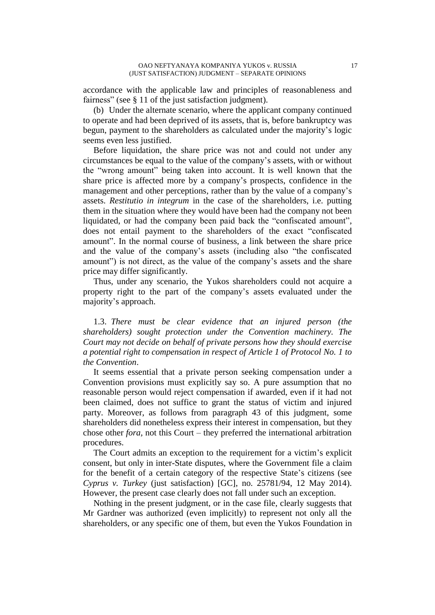accordance with the applicable law and principles of reasonableness and fairness" (see § 11 of the just satisfaction judgment).

(b) Under the alternate scenario, where the applicant company continued to operate and had been deprived of its assets, that is, before bankruptcy was begun, payment to the shareholders as calculated under the majority's logic seems even less justified.

Before liquidation, the share price was not and could not under any circumstances be equal to the value of the company's assets, with or without the "wrong amount" being taken into account. It is well known that the share price is affected more by a company's prospects, confidence in the management and other perceptions, rather than by the value of a company's assets. *Restitutio in integrum* in the case of the shareholders, i.e. putting them in the situation where they would have been had the company not been liquidated, or had the company been paid back the "confiscated amount", does not entail payment to the shareholders of the exact "confiscated amount". In the normal course of business, a link between the share price and the value of the company's assets (including also "the confiscated amount") is not direct, as the value of the company's assets and the share price may differ significantly.

Thus, under any scenario, the Yukos shareholders could not acquire a property right to the part of the company's assets evaluated under the majority's approach.

1.3. *There must be clear evidence that an injured person (the shareholders) sought protection under the Convention machinery. The Court may not decide on behalf of private persons how they should exercise a potential right to compensation in respect of Article 1 of Protocol No. 1 to the Convention*.

It seems essential that a private person seeking compensation under a Convention provisions must explicitly say so. A pure assumption that no reasonable person would reject compensation if awarded, even if it had not been claimed, does not suffice to grant the status of victim and injured party. Moreover, as follows from paragraph 43 of this judgment, some shareholders did nonetheless express their interest in compensation, but they chose other *fora,* not this Court – they preferred the international arbitration procedures.

The Court admits an exception to the requirement for a victim's explicit consent, but only in inter-State disputes, where the Government file a claim for the benefit of a certain category of the respective State's citizens (see *Cyprus v. Turkey* (just satisfaction) [GC], no. 25781/94, 12 May 2014). However, the present case clearly does not fall under such an exception.

Nothing in the present judgment, or in the case file, clearly suggests that Mr Gardner was authorized (even implicitly) to represent not only all the shareholders, or any specific one of them, but even the Yukos Foundation in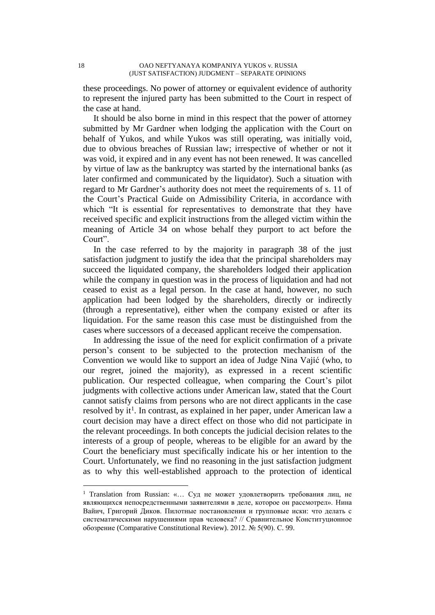these proceedings. No power of attorney or equivalent evidence of authority to represent the injured party has been submitted to the Court in respect of the case at hand.

It should be also borne in mind in this respect that the power of attorney submitted by Mr Gardner when lodging the application with the Court on behalf of Yukos, and while Yukos was still operating, was initially void, due to obvious breaches of Russian law; irrespective of whether or not it was void, it expired and in any event has not been renewed. It was cancelled by virtue of law as the bankruptcy was started by the international banks (as later confirmed and communicated by the liquidator). Such a situation with regard to Mr Gardner's authority does not meet the requirements of s. 11 of the Court's Practical Guide on Admissibility Criteria, in accordance with which "It is essential for representatives to demonstrate that they have received specific and explicit instructions from the alleged victim within the meaning of Article 34 on whose behalf they purport to act before the Court".

In the case referred to by the majority in paragraph 38 of the just satisfaction judgment to justify the idea that the principal shareholders may succeed the liquidated company, the shareholders lodged their application while the company in question was in the process of liquidation and had not ceased to exist as a legal person. In the case at hand, however, no such application had been lodged by the shareholders, directly or indirectly (through a representative), either when the company existed or after its liquidation. For the same reason this case must be distinguished from the cases where successors of a deceased applicant receive the compensation.

In addressing the issue of the need for explicit confirmation of a private person's consent to be subjected to the protection mechanism of the Convention we would like to support an idea of Judge Nina Vajić (who, to our regret, joined the majority), as expressed in a recent scientific publication. Our respected colleague, when comparing the Court's pilot judgments with collective actions under American law, stated that the Court cannot satisfy claims from persons who are not direct applicants in the case resolved by it<sup>1</sup>. In contrast, as explained in her paper, under American law a court decision may have a direct effect on those who did not participate in the relevant proceedings. In both concepts the judicial decision relates to the interests of a group of people, whereas to be eligible for an award by the Court the beneficiary must specifically indicate his or her intention to the Court. Unfortunately, we find no reasoning in the just satisfaction judgment as to why this well-established approach to the protection of identical

 $\overline{a}$ 

<sup>&</sup>lt;sup>1</sup> Translation from Russian: «... Суд не может удовлетворить требования лиц, не являющихся непосредственными заявителями в деле, которое он рассмотрел». Нина Вайич, Григорий Диков. Пилотные постановления и групповые иски: что делать с систематическими нарушениями прав человека? // Сравнительное Конституционное обозрение (Comparative Constitutional Review). 2012. № 5(90). С. 99.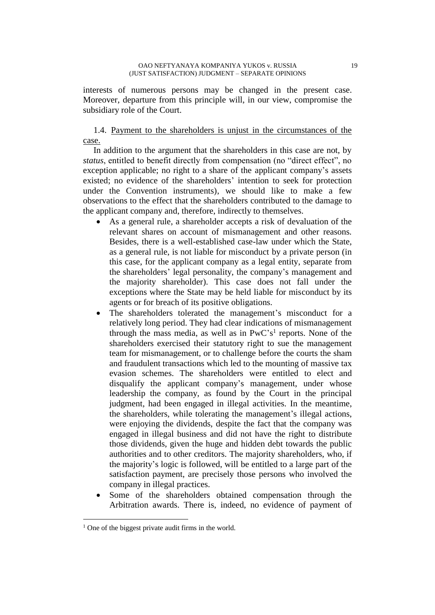interests of numerous persons may be changed in the present case. Moreover, departure from this principle will, in our view, compromise the subsidiary role of the Court.

# 1.4. Payment to the shareholders is unjust in the circumstances of the case.

In addition to the argument that the shareholders in this case are not, by *status*, entitled to benefit directly from compensation (no "direct effect", no exception applicable; no right to a share of the applicant company's assets existed; no evidence of the shareholders' intention to seek for protection under the Convention instruments), we should like to make a few observations to the effect that the shareholders contributed to the damage to the applicant company and, therefore, indirectly to themselves.

- As a general rule, a shareholder accepts a risk of devaluation of the relevant shares on account of mismanagement and other reasons. Besides, there is a well-established case-law under which the State, as a general rule, is not liable for misconduct by a private person (in this case, for the applicant company as a legal entity, separate from the shareholders' legal personality, the company's management and the majority shareholder). This case does not fall under the exceptions where the State may be held liable for misconduct by its agents or for breach of its positive obligations.
- The shareholders tolerated the management's misconduct for a relatively long period. They had clear indications of mismanagement through the mass media, as well as in  $PwC's<sup>1</sup>$  reports. None of the shareholders exercised their statutory right to sue the management team for mismanagement, or to challenge before the courts the sham and fraudulent transactions which led to the mounting of massive tax evasion schemes. The shareholders were entitled to elect and disqualify the applicant company's management, under whose leadership the company, as found by the Court in the principal judgment, had been engaged in illegal activities. In the meantime, the shareholders, while tolerating the management's illegal actions, were enjoying the dividends, despite the fact that the company was engaged in illegal business and did not have the right to distribute those dividends, given the huge and hidden debt towards the public authorities and to other creditors. The majority shareholders, who, if the majority's logic is followed, will be entitled to a large part of the satisfaction payment, are precisely those persons who involved the company in illegal practices.
- Some of the shareholders obtained compensation through the Arbitration awards. There is, indeed, no evidence of payment of

 $\overline{a}$ 

 $1$  One of the biggest private audit firms in the world.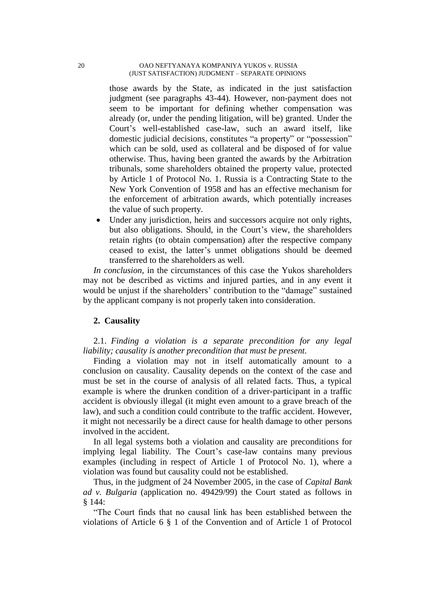#### 20 OAO NEFTYANAYA KOMPANIYA YUKOS v. RUSSIA (JUST SATISFACTION) JUDGMENT – SEPARATE OPINIONS

those awards by the State, as indicated in the just satisfaction judgment (see paragraphs 43-44). However, non-payment does not seem to be important for defining whether compensation was already (or, under the pending litigation, will be) granted. Under the Court's well-established case-law, such an award itself, like domestic judicial decisions, constitutes "a property" or "possession" which can be sold, used as collateral and be disposed of for value otherwise. Thus, having been granted the awards by the Arbitration tribunals, some shareholders obtained the property value, protected by Article 1 of Protocol No. 1. Russia is a Contracting State to the New York Convention of 1958 and has an effective mechanism for the enforcement of arbitration awards, which potentially increases the value of such property.

 Under any jurisdiction, heirs and successors acquire not only rights, but also obligations. Should, in the Court's view, the shareholders retain rights (to obtain compensation) after the respective company ceased to exist, the latter's unmet obligations should be deemed transferred to the shareholders as well.

*In conclusion*, in the circumstances of this case the Yukos shareholders may not be described as victims and injured parties, and in any event it would be unjust if the shareholders' contribution to the "damage" sustained by the applicant company is not properly taken into consideration.

## **2. Causality**

2.1. *Finding a violation is a separate precondition for any legal liability; causality is another precondition that must be present.*

Finding a violation may not in itself automatically amount to a conclusion on causality. Causality depends on the context of the case and must be set in the course of analysis of all related facts. Thus, a typical example is where the drunken condition of a driver-participant in a traffic accident is obviously illegal (it might even amount to a grave breach of the law), and such a condition could contribute to the traffic accident. However, it might not necessarily be a direct cause for health damage to other persons involved in the accident.

In all legal systems both a violation and causality are preconditions for implying legal liability. The Court's case-law contains many previous examples (including in respect of Article 1 of Protocol No. 1), where a violation was found but causality could not be established.

Thus, in the judgment of 24 November 2005, in the case of *Capital Bank ad v. Bulgaria* (application no. 49429/99) the Court stated as follows in § 144:

"The Court finds that no causal link has been established between the violations of Article 6 § 1 of the Convention and of Article 1 of Protocol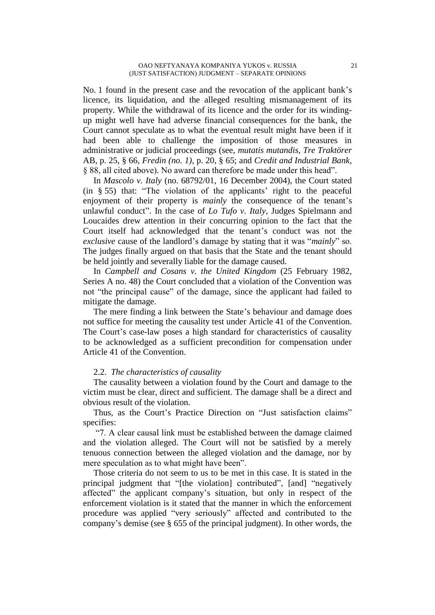No. 1 found in the present case and the revocation of the applicant bank's licence, its liquidation, and the alleged resulting mismanagement of its property. While the withdrawal of its licence and the order for its windingup might well have had adverse financial consequences for the bank, the Court cannot speculate as to what the eventual result might have been if it had been able to challenge the imposition of those measures in administrative or judicial proceedings (see, *mutatis mutandis*, *Tre Traktörer*  AB, p. 25, § 66, *Fredin (no. 1)*, p. 20, § 65; and *Credit and Industrial Bank*, § 88, all cited above). No award can therefore be made under this head".

In *Mascolo v. Italy* (no. 68792/01, 16 December 2004), the Court stated (in § 55) that: "The violation of the applicants' right to the peaceful enjoyment of their property is *mainly* the consequence of the tenant's unlawful conduct". In the case of *Lo Tufo v. Italy*, Judges Spielmann and Loucaides drew attention in their concurring opinion to the fact that the Court itself had acknowledged that the tenant's conduct was not the *exclusive* cause of the landlord's damage by stating that it was "*mainly*" so. The judges finally argued on that basis that the State and the tenant should be held jointly and severally liable for the damage caused.

In *Campbell and Cosans v. the United Kingdom* (25 February 1982, Series A no. 48) the Court concluded that a violation of the Convention was not "the principal cause" of the damage, since the applicant had failed to mitigate the damage.

The mere finding a link between the State's behaviour and damage does not suffice for meeting the causality test under Article 41 of the Convention. The Court's case-law poses a high standard for characteristics of causality to be acknowledged as a sufficient precondition for compensation under Article 41 of the Convention.

## 2.2. *The characteristics of causality*

The causality between a violation found by the Court and damage to the victim must be clear, direct and sufficient. The damage shall be a direct and obvious result of the violation.

Thus, as the Court's Practice Direction on "Just satisfaction claims" specifies:

"7. A clear causal link must be established between the damage claimed and the violation alleged. The Court will not be satisfied by a merely tenuous connection between the alleged violation and the damage, nor by mere speculation as to what might have been".

Those criteria do not seem to us to be met in this case. It is stated in the principal judgment that "[the violation] contributed", [and] "negatively affected" the applicant company's situation, but only in respect of the enforcement violation is it stated that the manner in which the enforcement procedure was applied "very seriously" affected and contributed to the company's demise (see § 655 of the principal judgment). In other words, the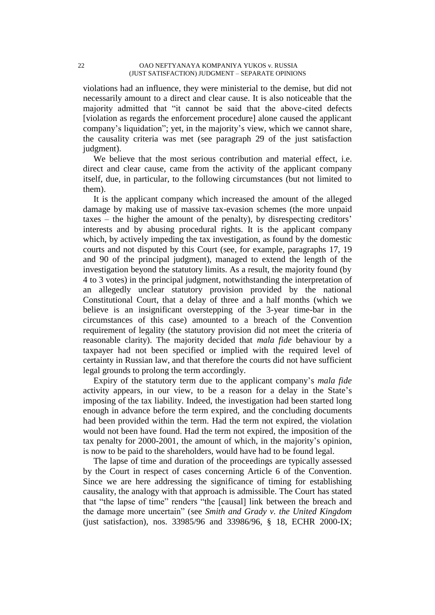violations had an influence, they were ministerial to the demise, but did not necessarily amount to a direct and clear cause. It is also noticeable that the majority admitted that "it cannot be said that the above-cited defects [violation as regards the enforcement procedure] alone caused the applicant company's liquidation"; yet, in the majority's view, which we cannot share, the causality criteria was met (see paragraph 29 of the just satisfaction judgment).

We believe that the most serious contribution and material effect, i.e. direct and clear cause, came from the activity of the applicant company itself, due, in particular, to the following circumstances (but not limited to them).

It is the applicant company which increased the amount of the alleged damage by making use of massive tax-evasion schemes (the more unpaid taxes – the higher the amount of the penalty), by disrespecting creditors' interests and by abusing procedural rights. It is the applicant company which, by actively impeding the tax investigation, as found by the domestic courts and not disputed by this Court (see, for example, paragraphs 17, 19 and 90 of the principal judgment), managed to extend the length of the investigation beyond the statutory limits. As a result, the majority found (by 4 to 3 votes) in the principal judgment, notwithstanding the interpretation of an allegedly unclear statutory provision provided by the national Constitutional Court, that a delay of three and a half months (which we believe is an insignificant overstepping of the 3-year time-bar in the circumstances of this case) amounted to a breach of the Convention requirement of legality (the statutory provision did not meet the criteria of reasonable clarity). The majority decided that *mala fide* behaviour by a taxpayer had not been specified or implied with the required level of certainty in Russian law, and that therefore the courts did not have sufficient legal grounds to prolong the term accordingly.

Expiry of the statutory term due to the applicant company's *mala fide* activity appears, in our view, to be a reason for a delay in the State's imposing of the tax liability. Indeed, the investigation had been started long enough in advance before the term expired, and the concluding documents had been provided within the term. Had the term not expired, the violation would not been have found. Had the term not expired, the imposition of the tax penalty for 2000-2001, the amount of which, in the majority's opinion, is now to be paid to the shareholders, would have had to be found legal.

The lapse of time and duration of the proceedings are typically assessed by the Court in respect of cases concerning Article 6 of the Convention. Since we are here addressing the significance of timing for establishing causality, the analogy with that approach is admissible. The Court has stated that "the lapse of time" renders "the [causal] link between the breach and the damage more uncertain" (see *Smith and Grady v. the United Kingdom* (just satisfaction), nos. 33985/96 and 33986/96, § 18, ECHR 2000-IX;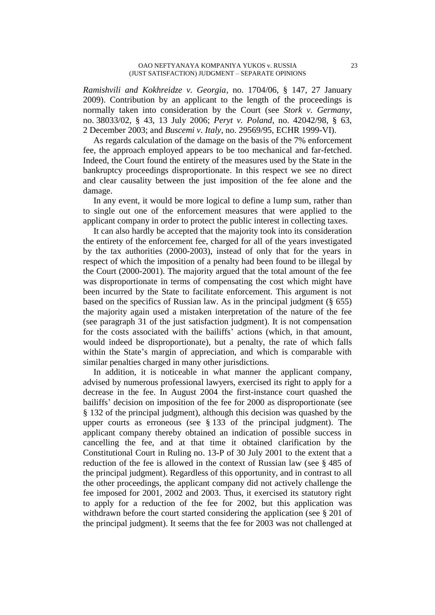#### OAO NEFTYANAYA KOMPANIYA YUKOS v. RUSSIA 23 (JUST SATISFACTION) JUDGMENT – SEPARATE OPINIONS

*Ramishvili and Kokhreidze v. Georgia*, no. 1704/06, § 147, 27 January 2009). Contribution by an applicant to the length of the proceedings is normally taken into consideration by the Court (see *Stork v. Germany*, no. 38033/02, § 43, 13 July 2006; *Peryt v. Poland*, no. 42042/98, § 63, 2 December 2003; and *Buscemi v. Italy*, no. 29569/95, ECHR 1999-VI).

As regards calculation of the damage on the basis of the 7% enforcement fee, the approach employed appears to be too mechanical and far-fetched. Indeed, the Court found the entirety of the measures used by the State in the bankruptcy proceedings disproportionate. In this respect we see no direct and clear causality between the just imposition of the fee alone and the damage.

In any event, it would be more logical to define a lump sum, rather than to single out one of the enforcement measures that were applied to the applicant company in order to protect the public interest in collecting taxes.

It can also hardly be accepted that the majority took into its consideration the entirety of the enforcement fee, charged for all of the years investigated by the tax authorities (2000-2003), instead of only that for the years in respect of which the imposition of a penalty had been found to be illegal by the Court (2000-2001). The majority argued that the total amount of the fee was disproportionate in terms of compensating the cost which might have been incurred by the State to facilitate enforcement. This argument is not based on the specifics of Russian law. As in the principal judgment (§ 655) the majority again used a mistaken interpretation of the nature of the fee (see paragraph 31 of the just satisfaction judgment). It is not compensation for the costs associated with the bailiffs' actions (which, in that amount, would indeed be disproportionate), but a penalty, the rate of which falls within the State's margin of appreciation, and which is comparable with similar penalties charged in many other jurisdictions.

In addition, it is noticeable in what manner the applicant company, advised by numerous professional lawyers, exercised its right to apply for a decrease in the fee. In August 2004 the first-instance court quashed the bailiffs' decision on imposition of the fee for 2000 as disproportionate (see § 132 of the principal judgment), although this decision was quashed by the upper courts as erroneous (see § 133 of the principal judgment). The applicant company thereby obtained an indication of possible success in cancelling the fee, and at that time it obtained clarification by the Constitutional Court in Ruling no. 13-P of 30 July 2001 to the extent that a reduction of the fee is allowed in the context of Russian law (see § 485 of the principal judgment). Regardless of this opportunity, and in contrast to all the other proceedings, the applicant company did not actively challenge the fee imposed for 2001, 2002 and 2003. Thus, it exercised its statutory right to apply for a reduction of the fee for 2002, but this application was withdrawn before the court started considering the application (see § 201 of the principal judgment). It seems that the fee for 2003 was not challenged at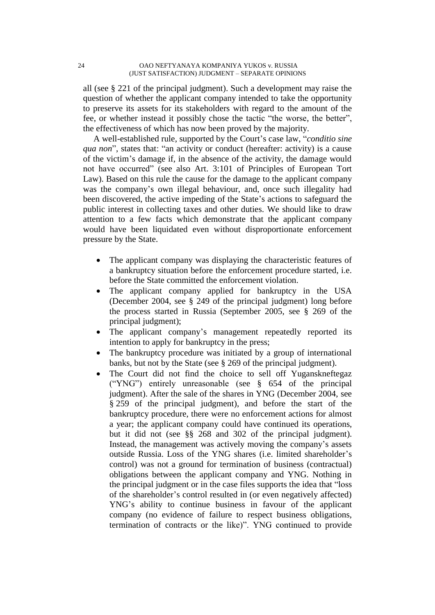all (see § 221 of the principal judgment). Such a development may raise the question of whether the applicant company intended to take the opportunity to preserve its assets for its stakeholders with regard to the amount of the fee, or whether instead it possibly chose the tactic "the worse, the better", the effectiveness of which has now been proved by the majority.

A well-established rule, supported by the Court's case law, "*conditio sine qua non*", states that: "an activity or conduct (hereafter: activity) is a cause of the victim's damage if, in the absence of the activity, the damage would not have occurred" (see also Art. 3:101 of Principles of European Tort Law). Based on this rule the cause for the damage to the applicant company was the company's own illegal behaviour, and, once such illegality had been discovered, the active impeding of the State's actions to safeguard the public interest in collecting taxes and other duties. We should like to draw attention to a few facts which demonstrate that the applicant company would have been liquidated even without disproportionate enforcement pressure by the State.

- The applicant company was displaying the characteristic features of a bankruptcy situation before the enforcement procedure started, i.e. before the State committed the enforcement violation.
- The applicant company applied for bankruptcy in the USA (December 2004, see § 249 of the principal judgment) long before the process started in Russia (September 2005, see § 269 of the principal judgment);
- The applicant company's management repeatedly reported its intention to apply for bankruptcy in the press;
- The bankruptcy procedure was initiated by a group of international banks, but not by the State (see § 269 of the principal judgment).
- The Court did not find the choice to sell off Yuganskneftegaz ("YNG") entirely unreasonable (see § 654 of the principal judgment). After the sale of the shares in YNG (December 2004, see § 259 of the principal judgment), and before the start of the bankruptcy procedure, there were no enforcement actions for almost a year; the applicant company could have continued its operations, but it did not (see §§ 268 and 302 of the principal judgment). Instead, the management was actively moving the company's assets outside Russia. Loss of the YNG shares (i.e. limited shareholder's control) was not a ground for termination of business (contractual) obligations between the applicant company and YNG. Nothing in the principal judgment or in the case files supports the idea that "loss of the shareholder's control resulted in (or even negatively affected) YNG's ability to continue business in favour of the applicant company (no evidence of failure to respect business obligations, termination of contracts or the like)". YNG continued to provide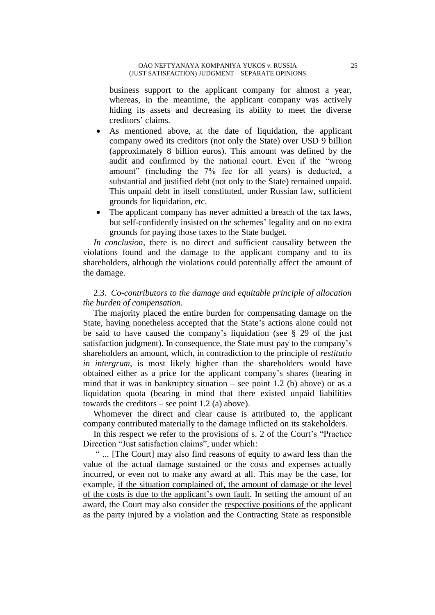business support to the applicant company for almost a year, whereas, in the meantime, the applicant company was actively hiding its assets and decreasing its ability to meet the diverse creditors' claims.

- As mentioned above, at the date of liquidation, the applicant company owed its creditors (not only the State) over USD 9 billion (approximately 8 billion euros). This amount was defined by the audit and confirmed by the national court. Even if the "wrong amount" (including the 7% fee for all years) is deducted, a substantial and justified debt (not only to the State) remained unpaid. This unpaid debt in itself constituted, under Russian law, sufficient grounds for liquidation, etc.
- The applicant company has never admitted a breach of the tax laws, but self-confidently insisted on the schemes' legality and on no extra grounds for paying those taxes to the State budget.

*In conclusion*, there is no direct and sufficient causality between the violations found and the damage to the applicant company and to its shareholders, although the violations could potentially affect the amount of the damage.

# 2.3. *Co-contributors to the damage and equitable principle of allocation the burden of compensation.*

The majority placed the entire burden for compensating damage on the State, having nonetheless accepted that the State's actions alone could not be said to have caused the company's liquidation (see § 29 of the just satisfaction judgment). In consequence, the State must pay to the company's shareholders an amount, which, in contradiction to the principle of *restitutio in intergrum*, is most likely higher than the shareholders would have obtained either as a price for the applicant company's shares (bearing in mind that it was in bankruptcy situation – see point 1.2 (b) above) or as a liquidation quota (bearing in mind that there existed unpaid liabilities towards the creditors – see point 1.2 (a) above).

Whomever the direct and clear cause is attributed to, the applicant company contributed materially to the damage inflicted on its stakeholders.

In this respect we refer to the provisions of s. 2 of the Court's "Practice Direction "Just satisfaction claims", under which:

" ... [The Court] may also find reasons of equity to award less than the value of the actual damage sustained or the costs and expenses actually incurred, or even not to make any award at all. This may be the case, for example, if the situation complained of, the amount of damage or the level of the costs is due to the applicant's own fault. In setting the amount of an award, the Court may also consider the respective positions of the applicant as the party injured by a violation and the Contracting State as responsible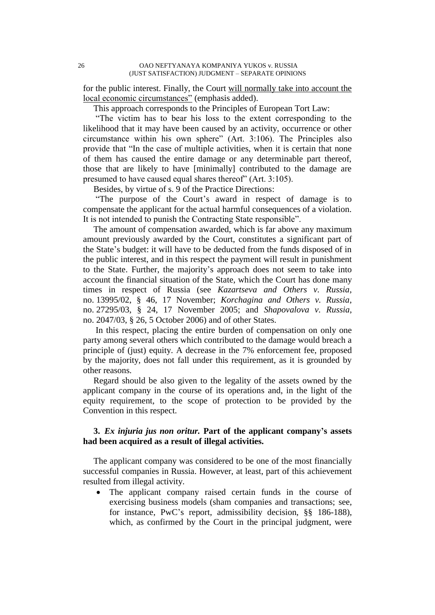for the public interest. Finally, the Court will normally take into account the local economic circumstances" (emphasis added).

This approach corresponds to the Principles of European Tort Law:

"The victim has to bear his loss to the extent corresponding to the likelihood that it may have been caused by an activity, occurrence or other circumstance within his own sphere" (Art. 3:106). The Principles also provide that "In the case of multiple activities, when it is certain that none of them has caused the entire damage or any determinable part thereof, those that are likely to have [minimally] contributed to the damage are presumed to have caused equal shares thereof" (Art. 3:105).

Besides, by virtue of s. 9 of the Practice Directions:

"The purpose of the Court's award in respect of damage is to compensate the applicant for the actual harmful consequences of a violation. It is not intended to punish the Contracting State responsible".

The amount of compensation awarded, which is far above any maximum amount previously awarded by the Court, constitutes a significant part of the State's budget: it will have to be deducted from the funds disposed of in the public interest, and in this respect the payment will result in punishment to the State. Further, the majority's approach does not seem to take into account the financial situation of the State, which the Court has done many times in respect of Russia (see *Kazartseva and Others v. Russia*, no. 13995/02, § 46, 17 November; *Korchagina and Others v. Russia*, no. 27295/03, § 24, 17 November 2005; and *Shapovalova v. Russia*, no. 2047/03, § 26, 5 October 2006) and of other States.

In this respect, placing the entire burden of compensation on only one party among several others which contributed to the damage would breach a principle of (just) equity. A decrease in the 7% enforcement fee, proposed by the majority, does not fall under this requirement, as it is grounded by other reasons.

Regard should be also given to the legality of the assets owned by the applicant company in the course of its operations and, in the light of the equity requirement, to the scope of protection to be provided by the Convention in this respect.

## **3.** *Ex injuria jus non oritur.* **Part of the applicant company's assets had been acquired as a result of illegal activities.**

The applicant company was considered to be one of the most financially successful companies in Russia. However, at least, part of this achievement resulted from illegal activity.

 The applicant company raised certain funds in the course of exercising business models (sham companies and transactions; see, for instance, PwC's report, admissibility decision, §§ 186-188), which, as confirmed by the Court in the principal judgment, were